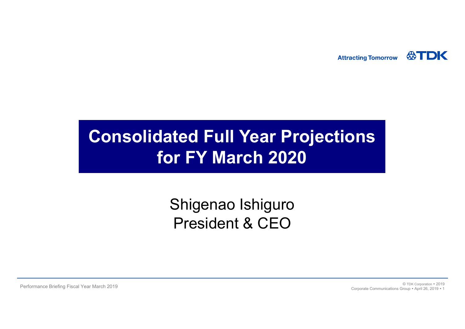**ATDK Attracting Tomorrow** 

# **Consolidated Full Year Projections for FY March 2020**

## Shigenao Ishiguro President & CEO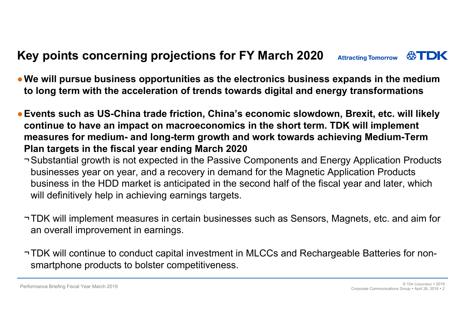#### **Key points concerning projections for FY March 2020 ATDK Attracting Tomorrow**

- ●**We will pursue business opportunities as the electronics business expands in the medium to long term with the acceleration of trends towards digital and energy transformations**
- ●**Events such as US-China trade friction, China's economic slowdown, Brexit, etc. will likely continue to have an impact on macroeconomics in the short term. TDK will implement measures for medium- and long-term growth and work towards achieving Medium-Term Plan targets in the fiscal year ending March 2020**
	- ¬Substantial growth is not expected in the Passive Components and Energy Application Products businesses year on year, and a recovery in demand for the Magnetic Application Products business in the HDD market is anticipated in the second half of the fiscal year and later, which will definitively help in achieving earnings targets.
	- ¬TDK will implement measures in certain businesses such as Sensors, Magnets, etc. and aim for an overall improvement in earnings.
	- ¬TDK will continue to conduct capital investment in MLCCs and Rechargeable Batteries for nonsmartphone products to bolster competitiveness.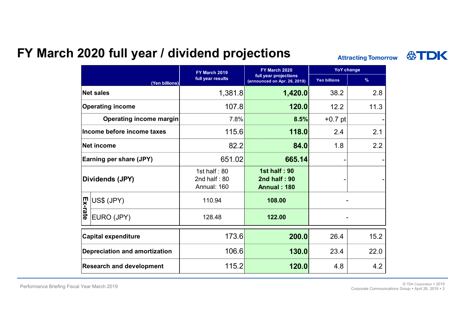## **FY March 2020 full year / dividend projections**

**Attracting Tomorrow** 

|                                      |                | FY March 2019                                   | FY March 2020                                             | <b>YoY change</b>   |               |
|--------------------------------------|----------------|-------------------------------------------------|-----------------------------------------------------------|---------------------|---------------|
|                                      | (Yen billions) | full year results                               | full year projections<br>(announced on Apr. 26, 2019)     | <b>Yen billions</b> | $\frac{9}{6}$ |
| <b>Net sales</b>                     |                | 1,381.8                                         | 1,420.0                                                   | 38.2                | 2.8           |
| <b>Operating income</b>              |                | 107.8                                           | 120.0                                                     | 12.2                | 11.3          |
| <b>Operating income margin</b>       |                | 7.8%                                            | 8.5%                                                      | $+0.7$ pt           |               |
| Income before income taxes           |                | 115.6                                           | 118.0                                                     | 2.4                 | 2.1           |
| <b>Net income</b>                    |                | 82.2                                            | 84.0                                                      | 1.8                 | 2.2           |
| Earning per share (JPY)              |                | 651.02                                          | 665.14                                                    |                     |               |
| Dividends (JPY)                      |                | 1st half: $80$<br>2nd half: $80$<br>Annual: 160 | <b>1st half: 90</b><br>2nd half: 90<br><b>Annual: 180</b> |                     |               |
| Ex-rate                              | US\$ (JPY)     | 110.94                                          | 108.00                                                    |                     |               |
|                                      | EURO (JPY)     | 128.48                                          | 122.00                                                    |                     |               |
| <b>Capital expenditure</b>           |                | 173.6                                           | 200.0                                                     | 26.4                | 15.2          |
| <b>Depreciation and amortization</b> |                | 106.6                                           | 130.0                                                     | 23.4                | 22.0          |
| <b>Research and development</b>      |                | 115.2                                           | 120.0                                                     | 4.8                 | 4.2           |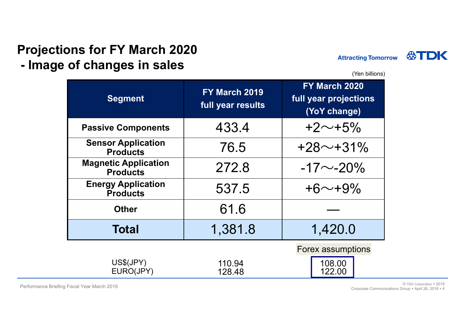#### **Projections for FY March 2020 - Image of changes in sales**



(Yen billions)

| <b>Segment</b>                                 | FY March 2019<br>full year results | FY March 2020<br>full year projections<br>(YoY change) |  |  |
|------------------------------------------------|------------------------------------|--------------------------------------------------------|--|--|
| <b>Passive Components</b>                      | 433.4                              | $+2 \sim +5\%$                                         |  |  |
| <b>Sensor Application</b><br><b>Products</b>   | 76.5                               | $+28$ ~+31%                                            |  |  |
| <b>Magnetic Application</b><br><b>Products</b> | 272.8                              | $-17$ $\sim$ -20%                                      |  |  |
| <b>Energy Application</b><br><b>Products</b>   | 537.5                              | $+6$ ~+9%                                              |  |  |
| <b>Other</b>                                   | 61.6                               |                                                        |  |  |
| <b>Total</b>                                   | 1,381.8                            | 1,420.0                                                |  |  |
| US\$(JPY)<br>EURO(JPY)                         | 110.94<br>128.48                   | <b>Forex assumptions</b><br>108.00<br>122.00           |  |  |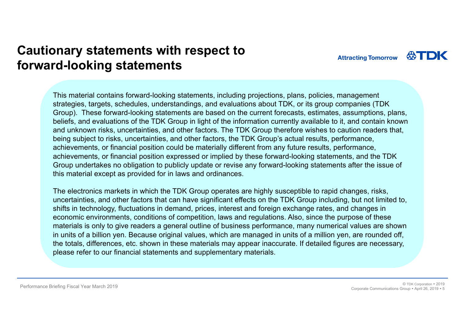## **Cautionary statements with respect to forward-looking statements**

This material contains forward-looking statements, including projections, plans, policies, management strategies, targets, schedules, understandings, and evaluations about TDK, or its group companies (TDK Group). These forward-looking statements are based on the current forecasts, estimates, assumptions, plans, beliefs, and evaluations of the TDK Group in light of the information currently available to it, and contain known and unknown risks, uncertainties, and other factors. The TDK Group therefore wishes to caution readers that, being subject to risks, uncertainties, and other factors, the TDK Group's actual results, performance, achievements, or financial position could be materially different from any future results, performance, achievements, or financial position expressed or implied by these forward-looking statements, and the TDK Group undertakes no obligation to publicly update or revise any forward-looking statements after the issue of this material except as provided for in laws and ordinances.

The electronics markets in which the TDK Group operates are highly susceptible to rapid changes, risks, uncertainties, and other factors that can have significant effects on the TDK Group including, but not limited to, shifts in technology, fluctuations in demand, prices, interest and foreign exchange rates, and changes in economic environments, conditions of competition, laws and regulations. Also, since the purpose of these materials is only to give readers a general outline of business performance, many numerical values are shown in units of a billion yen. Because original values, which are managed in units of a million yen, are rounded off, the totals, differences, etc. shown in these materials may appear inaccurate. If detailed figures are necessary, please refer to our financial statements and supplementary materials.

**Attracting Tomorrow**